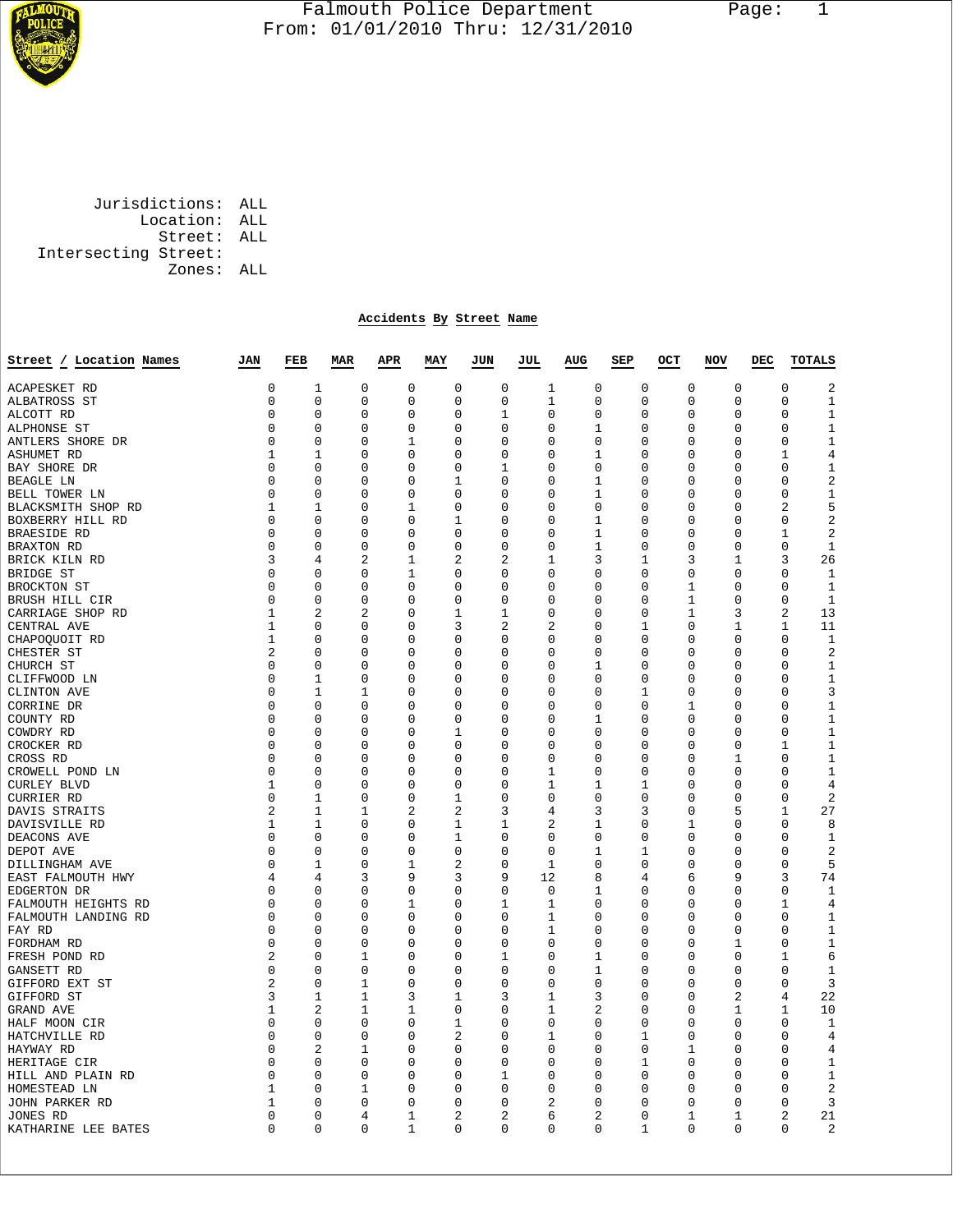

## Falmouth Police Department Page: 1  $\frac{1}{3}$  From: 01/01/2010 Thru: 12/31/2010

 Jurisdictions: ALL Location: ALL Street: ALL Intersecting Street: Zones: ALL

## **Accidents By Street Name**

| Street / Location Names | JAN            | FEB              | <b>MAR</b>  | <b>APR</b>     | MAY          | JUN           | JUL            | <b>AUG</b>    | SEP      | OCT           | NOV            | DEC | <b>TOTALS</b>                              |
|-------------------------|----------------|------------------|-------------|----------------|--------------|---------------|----------------|---------------|----------|---------------|----------------|-----|--------------------------------------------|
| <b>ACAPESKET RD</b>     | 0              | $\mathbf 1$      | $\mathbf 0$ | $\mathbf 0$    | $\mathbf 0$  | $\mathbf 0$   | 1              | $\mathbf 0$   | 0        | $\mathbf 0$   | $\mathbf 0$    |     | $\overline{2}$<br>$\mathbf 0$              |
| ALBATROSS ST            | 0              | $\Omega$         | $\Omega$    | $\Omega$       | $\Omega$     | $\Omega$      | 1              | $\Omega$      | $\Omega$ | $\Omega$      | $\Omega$       |     | $\Omega$<br>$\mathbf 1$                    |
| ALCOTT RD               | 0              | $\mathbf 0$      | $\Omega$    | 0              | $\mathbf 0$  | 1             | 0              | $\mathbf 0$   | 0        | $\mathbf 0$   | $\mathbf 0$    |     | $\mathbf{1}$<br>0                          |
| ALPHONSE ST             | 0              | 0                | $\Omega$    | 0              | 0            | $\Omega$      | $\Omega$       | 1             | $\Omega$ | 0             | 0              |     | $\mathbf{1}$<br>$\Omega$                   |
| ANTLERS SHORE DR        | 0              | 0                | $\Omega$    | 1              | 0            | 0             | 0              | 0             | 0        | $\Omega$      | 0              |     | $\mathbf 1$<br>0                           |
| <b>ASHUMET RD</b>       | 1              | 1                | 0           | 0              | $\mathbf 0$  | 0             | 0              | 1             | 0        | 0             | $\mathbf 0$    |     | $\overline{4}$<br>1                        |
| BAY SHORE DR            | 0              | 0                | $\Omega$    | 0              | 0            | 1             | 0              | 0             | 0        | 0             | $\Omega$       |     | $1\,$<br>$\Omega$                          |
| <b>BEAGLE LN</b>        | 0              | 0                | $\Omega$    | 0              | 1            | $\Omega$      | $\Omega$       | 1             | $\Omega$ | 0             | 0              |     | 2<br>$\Omega$                              |
| BELL TOWER LN           | 0              | 0                | $\Omega$    | 0              | 0            | 0             | 0              | 1             | $\Omega$ | 0             | 0              |     | $1\,$<br>$\Omega$                          |
| BLACKSMITH SHOP RD      | $\mathbf{1}$   | $\mathbf{1}$     | $\mathbf 0$ | $\mathbf 1$    | $\mathbf 0$  | $\mathbf 0$   | 0              | $\mathbf 0$   | 0        | $\mathbf 0$   | $\mathbf 0$    |     | 5<br>$\overline{a}$                        |
| BOXBERRY HILL RD        | 0              | 0                | 0           | 0              | 1            | 0             | 0              | 1             | 0        | 0             | 0              |     | 2<br>0                                     |
| <b>BRAESIDE RD</b>      | 0              | 0                | $\Omega$    | 0              | 0            | 0             | 0              | 1             | 0        | 0             | 0              |     | 2<br>1                                     |
| BRAXTON RD              | 0              | $\mathbf 0$      | 0           | 0              | $\mathbf 0$  | 0             | 0              | 1             | 0        | $\mathsf 0$   | $\mathbf 0$    |     | $\mathsf 0$<br>$\mathbf 1$                 |
| BRICK KILN RD           | 3              | $\overline{4}$   | 2           | 1              | 2            | 2             | 1              | 3             | 1        | 3             | 1              |     | 26<br>3                                    |
| BRIDGE ST               | 0              | $\mathbf 0$      | 0           | $\mathbf 1$    | $\mathbf 0$  | 0             | 0              | $\mathbf 0$   | 0        | $\mathsf 0$   | $\mathbf 0$    |     | $\mathbf 1$<br>0                           |
| BROCKTON ST             | 0              | $\mathbf 0$      | $\Omega$    | 0              | $\Omega$     | $\Omega$      | 0              | $\Omega$      | $\Omega$ | 1             | $\Omega$       |     | $\mathbf 1$<br>$\Omega$                    |
| BRUSH HILL CIR          | 0              | 0                | 0           | 0              | $\mathbf 0$  | 0             | 0              | 0             | 0        | $\mathbf{1}$  | $\mathbf 0$    |     | $\mathbf{1}$<br>0                          |
| CARRIAGE SHOP RD        | $\mathbf 1$    | 2                | 2           | 0              | $\mathbf{1}$ | 1             | 0              | 0             | 0        | 1             | 3              |     | 2<br>13                                    |
| CENTRAL AVE             | 1              | 0                | 0           | 0              | 3            | 2             | $\overline{2}$ | 0             | 1        | 0             | 1              |     | 11<br>1                                    |
| CHAPOQUOIT RD           | 1              | $\mathbf 0$      | 0           | 0              | $\mathbf 0$  | 0             | 0              | 0             | 0        | 0             | 0              |     | $\mathbf 1$<br>0                           |
| CHESTER ST              | 2              | 0                | 0           | 0              | 0            | 0             | 0              | 0             | 0        | 0             | 0              |     | $\overline{2}$<br>0                        |
| CHURCH ST               | 0              | $\mathbf 0$      | 0           | 0              | $\mathbf 0$  | 0             | 0              | 1             | 0        | 0             | $\mathbf 0$    |     | $\mathbf 1$<br>0                           |
|                         | 0              | 1                | 0           | 0              | 0            | 0             | 0              | 0             | 0        | 0             | 0              |     | $1\,$<br>0                                 |
| CLIFFWOOD LN            | 0              | $\mathbf{1}$     | 1           | 0              | $\mathbf 0$  | $\mathbf 0$   | 0              | $\mathbf 0$   | 1        | $\mathbf 0$   | $\mathbf 0$    |     | 3<br>0                                     |
| CLINTON AVE             | 0              | $\Omega$         |             | 0              | $\Omega$     | $\Omega$      | $\Omega$       | $\Omega$      | 0        | 1             | $\Omega$       |     | $\mathbf{1}$<br>$\Omega$                   |
| CORRINE DR              | 0              | $\mathbf 0$      | 0<br>0      | 0              | $\mathbf 0$  |               |                |               |          |               |                |     | $\mathbf 1$                                |
| COUNTY RD               |                |                  |             |                |              | 0             | 0              | 1             | 0        | 0             | 0              |     | 0                                          |
| COWDRY RD               | 0              | 0                | 0           | 0              | 1            | 0             | 0              | 0             | 0        | 0             | 0              |     | $\mathbf{1}$<br>0                          |
| CROCKER RD              | 0<br>0         | 0<br>0           | 0<br>0      | 0<br>0         | 0<br>0       | $\Omega$<br>0 | 0<br>0         | $\Omega$<br>0 | 0        | 0<br>0        | 0              |     | 1<br>1<br>$\mathbf{1}$<br>0                |
| CROSS RD                | 0              |                  |             | 0              | $\Omega$     |               |                |               | 0        |               | 1              |     |                                            |
| CROWELL POND LN         |                | 0<br>$\mathbf 0$ | 0           | 0              | $\mathbf 0$  | $\Omega$      | 1              | 0             | 0        | 0             | 0              |     | 1<br>0                                     |
| <b>CURLEY BLVD</b>      | 1<br>0         |                  | 0           | 0              | 1            | 0<br>$\Omega$ | 1<br>$\Omega$  | 1<br>$\Omega$ | 1<br>0   | 0<br>$\Omega$ | 0<br>0         |     | $\overline{4}$<br>0<br>$\overline{2}$<br>0 |
| CURRIER RD              | $\overline{2}$ | 1<br>1           | 0<br>1      | $\overline{2}$ | 2            |               | 4              | 3             | 3        | 0             | 5              |     | 27<br>1                                    |
| DAVIS STRAITS           |                |                  |             |                |              | 3             | 2              |               |          |               |                |     |                                            |
| DAVISVILLE RD           | 1<br>0         | 1                | 0           | 0<br>0         | 1            | 1             |                | 1             | 0        | 1             | 0              |     | 0<br>8<br>$\mathbf{1}$<br>0                |
| DEACONS AVE             |                | 0                | 0           |                | 1            | 0             | 0              | 0             | 0        | 0             | 0              |     |                                            |
| DEPOT AVE               | 0              | 0                | 0           | 0              | $\mathbf 0$  | 0             | 0              | 1             | 1        | 0             | 0              |     | $\overline{2}$<br>0                        |
| DILLINGHAM AVE          | 0              | 1                | $\Omega$    | 1              | 2            | $\Omega$      | 1              | $\Omega$      | 0        | $\Omega$      | $\Omega$       |     | 5<br>$\Omega$                              |
| EAST FALMOUTH HWY       | 4              | 4                | 3           | 9              | 3            | 9             | 12             | 8             | 4        | 6             | 9              |     | 74<br>3                                    |
| EDGERTON DR             | 0              | $\Omega$         | $\Omega$    | $\Omega$       | $\Omega$     | $\Omega$      | $\Omega$       | 1             | 0        | $\Omega$      | $\Omega$       |     | $\Omega$<br>$\mathbf 1$                    |
| FALMOUTH HEIGHTS RD     | 0              | 0                | $\Omega$    | 1              | $\mathbf 0$  | 1             | 1              | $\mathbf 0$   | $\Omega$ | 0             | $\mathbf 0$    |     | $\overline{4}$<br>1                        |
| FALMOUTH LANDING RD     | 0              | $\Omega$         | 0           | $\Omega$       | $\Omega$     | $\Omega$      | 1              | $\Omega$      | 0        | $\Omega$      | $\Omega$       |     | $1\,$<br>$\Omega$                          |
| FAY RD                  | 0              | $\mathbf 0$      | $\Omega$    | 0              | $\mathbf 0$  | $\Omega$      | $\mathbf 1$    | 0             | 0        | $\mathbf 0$   | $\mathbf 0$    |     | $\mathbf{1}$<br>0                          |
| FORDHAM RD              | 0              | 0                | $\Omega$    | 0              | 0            | 0             | $\Omega$       | 0             | $\Omega$ | 0             | 1              |     | $1\,$<br>$\Omega$                          |
| FRESH POND RD           | 2              | 0                | 1           | 0              | 0            | 1             | 0              | 1             | 0        | $\Omega$      | 0              |     | 6<br>1                                     |
| GANSETT RD              | 0              | 0                | 0           | 0              | $\mathbf 0$  | 0             | 0              | 1             | 0        | 0             | $\mathbf 0$    |     | $\mathbf{1}$<br>0                          |
| GIFFORD EXT ST          | 2              | 0                | 1           | 0              | 0            | $\Omega$      | 0              | 0             | $\Omega$ | 0             | 0              |     | 3<br>$\Omega$                              |
| GIFFORD ST              | 3              | 1                | 1           | 3              | 1            | 3             | 1              | 3             | $\Omega$ | 0             | $\overline{a}$ |     | 22<br>4                                    |
| GRAND AVE               | 1              | 2                | 1           | 1              | $\mathbf 0$  | 0             | 1              | 2             | 0        | 0             | 1              |     | 10<br>1                                    |
| HALF MOON CIR           | 0              | $\mathbf 0$      | $\mathbf 0$ | 0              | $\mathbf{1}$ | $\mathbf 0$   | 0              | $\mathbf 0$   | 0        | $\mathbf 0$   | $\mathbf 0$    |     | $\Omega$<br>$\mathbf 1$                    |
| HATCHVILLE RD           | 0              | 0                | 0           | 0              | 2            | 0             | 1              | 0             | 1        | 0             | 0              |     | $\overline{4}$<br>0                        |
| HAYWAY RD               | 0              | 2                | 1           | 0              | $\Omega$     | 0             | $\Omega$       | $\Omega$      | 0        | 1             | 0              |     | $\overline{4}$<br>$\Omega$                 |
| HERITAGE CIR            | 0              | $\mathbf 0$      | 0           | 0              | $\mathbf 0$  | 0             | 0              | 0             | 1        | $\mathsf 0$   | 0              |     | $\mathbf{1}$<br>0                          |
| HILL AND PLAIN RD       | 0              | 0                | 0           | 0              | $\Omega$     | 1             | 0              | 0             | 0        | 0             | 0              |     | $\mathbf{1}$<br>0                          |
| HOMESTEAD LN            | 1              | $\mathbf 0$      | $\mathbf 1$ | 0              | 0            | 0             | 0              | 0             | 0        | $\mathsf 0$   | 0              |     | $\overline{2}$<br>0                        |
| JOHN PARKER RD          | $\mathbf{1}$   | $\Omega$         | $\Omega$    | 0              | $\Omega$     | $\Omega$      | 2              | $\Omega$      | $\Omega$ | $\mathsf 0$   | 0              |     | 3<br>$\Omega$                              |
| JONES RD                | 0              | $\mathbf 0$      | 4           | $\mathbf 1$    | 2            | 2             | 6              | 2             | 0        | 1             | 1              |     | 2<br>21                                    |
| KATHARINE LEE BATES     | 0              | $\Omega$         | $\Omega$    | $\mathbf 1$    | $\Omega$     | $\Omega$      | $\Omega$       | $\Omega$      | 1        | $\Omega$      | $\Omega$       |     | $\overline{2}$<br>$\Omega$                 |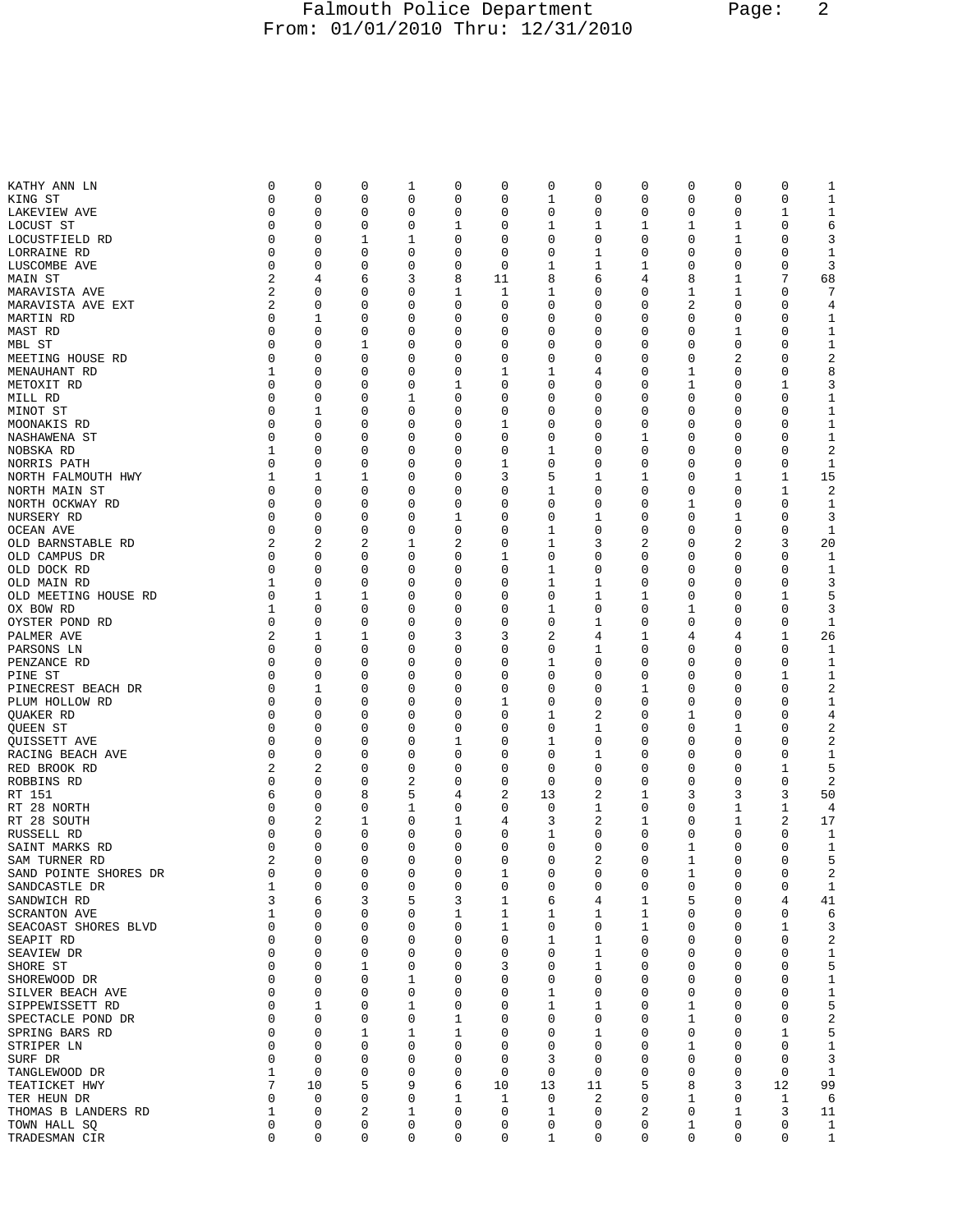## Falmouth Police Department Page: 2 From: 01/01/2010 Thru: 12/31/2010

| KATHY ANN LN                      | 0           | 0           | 0      | 1                | 0           | 0            | 0      | 0           | 0      | 0      | 0           | 0                | 1                            |
|-----------------------------------|-------------|-------------|--------|------------------|-------------|--------------|--------|-------------|--------|--------|-------------|------------------|------------------------------|
| KING ST                           | 0           | 0           | 0      | $\mathbf 0$      | 0           | 0            | 1      | 0           | 0      | 0      | 0           | $\mathbf 0$      | 1                            |
| LAKEVIEW AVE                      | 0           | 0           | 0      | $\mathbf 0$      | $\mathbf 0$ | 0            | 0      | 0           | 0      | 0      | 0           | $\mathbf 1$      | $\mathbf 1$                  |
| LOCUST ST                         | 0           | 0           | 0      | 0                | 1           | 0            | 1      | 1           | 1      | 1      | 1           | 0                | 6                            |
| LOCUSTFIELD RD                    | 0           | 0           | 1      | 1                | 0           | 0            | 0      | 0           | 0      | 0      | 1           | 0                | 3                            |
| LORRAINE RD                       | 0           | 0           | 0      | 0                | 0           | $\mathbf 0$  | 0      | 1           | 0      | 0      | 0           | 0                | 1                            |
| LUSCOMBE AVE                      | 0           | 0           | 0      | 0                | 0           | 0            | 1      | 1           | 1      | 0      | 0           | 0                | 3                            |
| MAIN ST                           | 2           | 4           | 6      | 3                | 8           | 11           | 8      | 6           | 4      | 8      | 1           | 7                | 68                           |
| MARAVISTA AVE                     | 2           | 0           | 0      | 0                | 1           | 1            | 1      | 0           | 0      | 1      | 1           | $\mathbf 0$      | 7                            |
| MARAVISTA AVE EXT                 | 2           | 0           | 0      | 0                | 0           | 0            | 0      | 0           | 0      | 2      | 0           | 0                | 4                            |
| MARTIN RD                         | 0           | 1           | 0      | 0                | 0           | 0            | 0      | 0           | 0      | 0      | 0           | 0                | 1                            |
| MAST RD                           | 0           | 0           | 0      | 0                | 0           | 0            | 0      | 0           | 0      | 0      | 1           | 0                | $\mathbf 1$                  |
| MBL ST                            | 0           | 0           | 1      | 0                | 0           | 0            | 0      | 0           | 0      | 0      | 0           | 0                | 1                            |
| MEETING HOUSE RD                  | 0           | 0           | 0      | 0                | 0           | 0            | 0      | 0           | 0      | 0      | 2           | 0                | 2                            |
| MENAUHANT RD                      | 1           | 0           | 0      | 0                | 0           | $\mathbf{1}$ | 1      | 4           | 0      | 1      | 0           | 0                | 8                            |
| METOXIT RD                        | 0           | 0           | 0      | 0                | 1           | 0            | 0      | 0           | 0      | 1      | 0           | 1                | 3                            |
| MILL RD                           | 0           | 0           | 0      | 1                | 0           | 0            | 0      | 0           | 0      | 0      | 0           | 0                | 1                            |
| MINOT ST                          | 0           | 1           | 0      | 0                | 0           | 0            | 0      | 0           | 0      | 0      | 0           | 0                | $\mathbf 1$                  |
| MOONAKIS RD                       | 0           | 0           | 0      | 0                | 0           | 1            | 0      | 0           | 0      | 0      | 0           | 0                | 1                            |
| NASHAWENA ST                      | 0           | 0           | 0      | 0                | 0           | $\mathbf 0$  | 0      | 0           | 1      | 0      | 0           | $\mathbf 0$      | $\mathbf 1$                  |
| NOBSKA RD                         | 1           | 0           | 0      | 0                | 0           | 0            | 1      | 0           | 0      | 0      | 0           | $\mathbf 0$      | 2                            |
| NORRIS PATH                       | 0           | 0           | 0      | 0                | 0           | 1            | 0      | 0           | 0      | 0      | 0           | 0                | 1                            |
| NORTH FALMOUTH HWY                | 1           | 1           | 1      | 0                | 0           | 3            | 5      | 1           | 1      | 0      | 1           | 1                | 15                           |
| NORTH MAIN ST                     | 0           | 0           | 0      | 0                | 0           | 0            | 1      | 0           | 0      | 0      | 0           | $\mathbf{1}$     | 2                            |
| NORTH OCKWAY RD                   | 0           | 0           | 0      | 0                | 0           | 0            | 0      | 0           | 0      | 1      | 0           | 0                | 1                            |
| NURSERY RD                        | 0           | 0           | 0      | 0                | 1           | 0            | 0      | 1           | 0      | 0      | 1           | $\mathbf 0$      | 3                            |
| OCEAN AVE                         | 0           | 0           | 0      | 0                | $\mathbf 0$ | 0            | 1      | 0           | 0      | 0      | $\mathbf 0$ | 0                | 1                            |
| OLD BARNSTABLE RD                 | 2           | 2           | 2      | 1                | 2           | 0            | 1      | 3           | 2      | 0      | 2           | 3                | 20                           |
| OLD CAMPUS DR                     | 0           | 0           | 0      | 0                | 0           | 1            | 0      | 0           | 0      | 0      | 0           | 0                | 1                            |
| OLD DOCK RD                       | 0           | 0           | 0      | 0                | 0           | 0            | 1      | 0           | 0      | 0      | 0           | 0                | 1                            |
| OLD MAIN RD                       | 1<br>0      | 0           | 0      | 0                | 0<br>0      | 0<br>0       | 1<br>0 | 1           | 0      | 0      | 0<br>0      | 0                | 3                            |
| OLD MEETING HOUSE RD<br>OX BOW RD | 1           | 1<br>0      | 1<br>0 | 0<br>0           | 0           | 0            | 1      | 1<br>0      | 1<br>0 | 0<br>1 | 0           | 1<br>$\mathbf 0$ | 5<br>3                       |
| OYSTER POND RD                    | 0           | 0           | 0      | 0                | 0           | 0            | 0      | 1           | 0      | 0      | 0           | 0                | 1                            |
| PALMER AVE                        | 2           | 1           | 1      | 0                | 3           | 3            | 2      | 4           | 1      | 4      | 4           | 1                | 26                           |
| PARSONS LN                        | 0           | 0           | 0      | 0                | 0           | 0            | 0      | 1           | 0      | 0      | 0           | 0                | 1                            |
| PENZANCE RD                       | 0           | 0           | 0      | 0                | 0           | 0            | 1      | 0           | 0      | 0      | 0           | 0                | 1                            |
| PINE ST                           | 0           | 0           | 0      | 0                | 0           | 0            | 0      | 0           | 0      | 0      | 0           | 1                | 1                            |
| PINECREST BEACH DR                | 0           | 1           | 0      | 0                | 0           | 0            | 0      | 0           | 1      | 0      | 0           | $\mathbf 0$      | 2                            |
| PLUM HOLLOW RD                    | 0           | 0           | 0      | 0                | 0           | 1            | 0      | 0           | 0      | 0      | 0           | 0                | 1                            |
| QUAKER RD                         | 0           | 0           | 0      | 0                | 0           | 0            | 1      | 2           | 0      | 1      | 0           | 0                | 4                            |
| QUEEN ST                          | 0           | 0           | 0      | 0                | 0           | 0            | 0      | 1           | 0      | 0      | 1           | 0                | 2                            |
| QUISSETT AVE                      | 0           | 0           | 0      | 0                | 1           | 0            | 1      | 0           | 0      | 0      | 0           | 0                | 2                            |
| RACING BEACH AVE                  | 0           | 0           | 0      | 0                | 0           | $\mathbf 0$  | 0      | 1           | 0      | 0      | 0           | 0                | 1                            |
| RED BROOK RD                      | 2           | 2           | 0      | $\mathbf 0$      | 0           | 0            | 0      | 0           | 0      | 0      | 0           | $\mathbf 1$      | 5                            |
| ROBBINS RD                        | 0           | 0           | 0      | 2                | 0           | 0            | 0      | 0           | 0      | 0      | 0           | 0                | 2                            |
| RT 151                            | 6           | 0           | 8      | 5                | 4           | 2            | 13     | 2           | 1      | 3      | 3           | 3                | 50                           |
| RT 28 NORTH                       | 0           | 0           | 0      | $\mathbf 1$      | 0           | 0            | 0      | 1           | 0      | 0      | 1           | 1                | 4                            |
| RT 28 SOUTH                       | 0           | 2           | 1      | 0                | 1           | 4            | 3      | 2           | 1      | 0      | 1           | 2                | 17                           |
| RUSSELL RD                        | $\Omega$    | 0           | 0      | 0                | 0           | 0            | 1      | 0           | 0      | 0      | 0           | 0                | 1                            |
| SAINT MARKS RD                    | 0           | 0           | 0      | 0                | 0           | 0            | 0      | 0           | 0      | 1      | 0           | 0                | 1                            |
| SAM TURNER RD                     | 2           | 0           | 0      | 0                | 0           | 0            | 0      | 2           | 0      | 1      | 0           | 0                | 5                            |
| SAND POINTE SHORES DR             | 0           | 0           | 0      | 0                | 0           | 1            | 0      | $\mathbf 0$ | 0      | 1      | 0           | 0                | 2                            |
| SANDCASTLE DR                     | 1           | 0           | 0      | $\mathbf 0$      | 0           | $\mathsf 0$  | 0      | 0           | 0      | 0      | 0           | $\mathsf 0$      | $\mathbf{1}$                 |
| SANDWICH RD                       | 3           | 6           | 3      | 5                | 3           | 1            | 6      | 4           | 1      | 5      | 0           | 4                | 41                           |
| <b>SCRANTON AVE</b>               | $\mathbf 1$ | $\mathbf 0$ | 0      | 0                | 1           | 1            | 1      | 1           | 1      | 0      | 0           | $\mathbf 0$      | 6                            |
| SEACOAST SHORES BLVD              | 0           | $\mathbf 0$ | 0      | $\mathbf 0$      | $\mathbf 0$ | $\mathbf{1}$ | 0      | 0           | 1      | 0      | 0           | $\mathbf{1}$     | 3                            |
| SEAPIT RD                         | 0           | 0           | 0      | 0                | 0           | 0            | 1      | 1           | 0      | 0      | 0           | 0                | $\boldsymbol{2}$             |
| SEAVIEW DR                        | 0           | 0           | 0      | 0                | 0           | 0            | 0      | 1           | 0      | 0      | 0           | $\mathbf 0$      | $\mathbf{1}$                 |
| SHORE ST                          | 0           | 0           | 1      | $\mathsf 0$      | 0           | 3            | 0      | 1           | 0      | 0      | 0           | $\mathbf 0$      | 5                            |
| SHOREWOOD DR                      | 0           | 0           | 0      | 1                | 0           | 0            | 0      | 0           | 0      | 0      | 0           | 0                | $\mathbf{1}$                 |
| SILVER BEACH AVE                  | 0           | 0           | 0      | 0                | 0           | 0            | 1      | 0           | 0      | 0      | 0           | $\mathbf 0$      | $\mathbf 1$                  |
| SIPPEWISSETT RD                   | 0           | 1           | 0      | $\mathbf{1}$     | $\mathbf 0$ | 0            | 1      | 1           | 0      | 1      | 0           | $\mathbf 0$      | 5                            |
| SPECTACLE POND DR                 | 0           | 0           | 0      | 0                | 1           | 0            | 0      | 0           | 0      | 1      | 0           | 0                | 2                            |
| SPRING BARS RD                    | 0           | 0           | 1      | 1                | 1           | 0            | 0      | 1           | 0      | 0      | 0           | 1                | 5                            |
| STRIPER LN                        | 0           | 0           | 0      | 0                | 0           | 0            | 0      | 0           | 0      | 1      | 0           | 0                | 1                            |
| SURF DR                           | 0           | 0           | 0      | 0                | 0           | 0            | 3      | 0           | 0      | 0      | 0           | 0                | 3                            |
| TANGLEWOOD DR                     | $\mathbf 1$ | 0           | 0      | 0                | 0           | 0            | 0      | 0           | 0      | 0      | 0           | $\mathbf 0$      | 1                            |
| TEATICKET HWY                     | 7           | 10          | 5      | 9                | 6           | 10           | 13     | 11          | 5      | 8      | 3           | 12               | 99                           |
| TER HEUN DR                       | 0<br>1      | 0<br>0      | 0      | 0                | 1           | 1            | 0      | 2           | 0      | 1      | 0           | 1                | 6                            |
| THOMAS B LANDERS RD               | 0           | 0           | 2<br>0 | 1<br>$\mathbf 0$ | 0<br>0      | 0<br>0       | 1      | 0<br>0      | 2      | 0      | 1<br>0      | 3<br>0           | 11                           |
| TOWN HALL SQ<br>TRADESMAN CIR     | 0           | 0           | 0      | 0                | 0           | 0            | 0<br>1 | 0           | 0<br>0 | 1<br>0 | 0           | 0                | $\mathbf{1}$<br>$\mathbf{1}$ |
|                                   |             |             |        |                  |             |              |        |             |        |        |             |                  |                              |